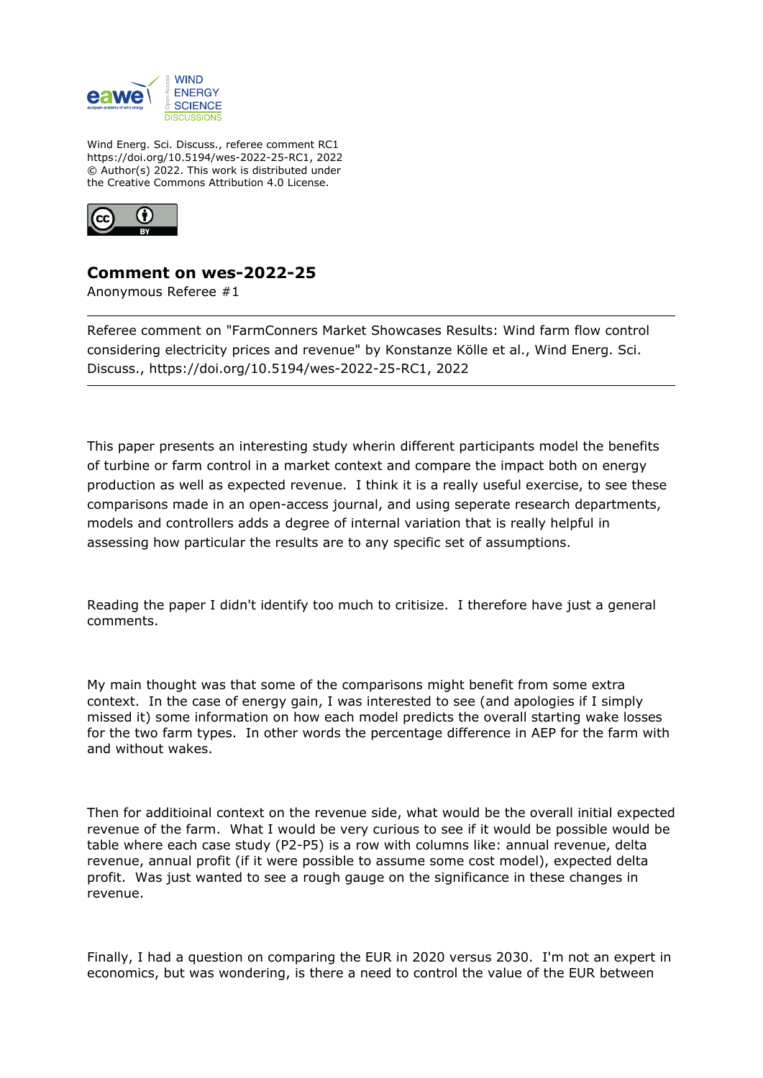

Wind Energ. Sci. Discuss., referee comment RC1 https://doi.org/10.5194/wes-2022-25-RC1, 2022 © Author(s) 2022. This work is distributed under the Creative Commons Attribution 4.0 License.



## **Comment on wes-2022-25**

Anonymous Referee #1

Referee comment on "FarmConners Market Showcases Results: Wind farm flow control considering electricity prices and revenue" by Konstanze Kölle et al., Wind Energ. Sci. Discuss., https://doi.org/10.5194/wes-2022-25-RC1, 2022

This paper presents an interesting study wherin different participants model the benefits of turbine or farm control in a market context and compare the impact both on energy production as well as expected revenue. I think it is a really useful exercise, to see these comparisons made in an open-access journal, and using seperate research departments, models and controllers adds a degree of internal variation that is really helpful in assessing how particular the results are to any specific set of assumptions.

Reading the paper I didn't identify too much to critisize. I therefore have just a general comments.

My main thought was that some of the comparisons might benefit from some extra context. In the case of energy gain, I was interested to see (and apologies if I simply missed it) some information on how each model predicts the overall starting wake losses for the two farm types. In other words the percentage difference in AEP for the farm with and without wakes.

Then for additioinal context on the revenue side, what would be the overall initial expected revenue of the farm. What I would be very curious to see if it would be possible would be table where each case study (P2-P5) is a row with columns like: annual revenue, delta revenue, annual profit (if it were possible to assume some cost model), expected delta profit. Was just wanted to see a rough gauge on the significance in these changes in revenue.

Finally, I had a question on comparing the EUR in 2020 versus 2030. I'm not an expert in economics, but was wondering, is there a need to control the value of the EUR between